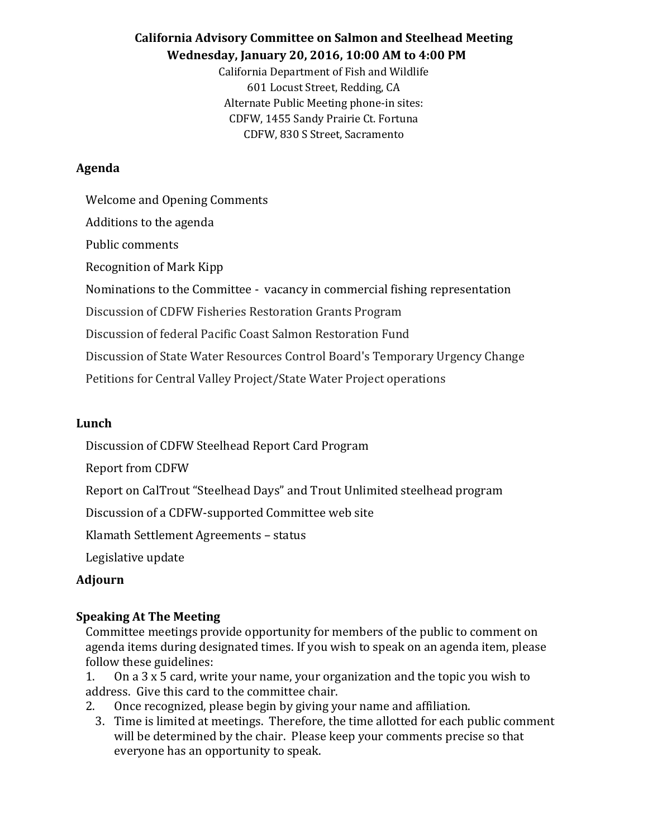# **California Advisory Committee on Salmon and Steelhead Meeting Wednesday, January 20, 2016, 10:00 AM to 4:00 PM**

California Department of Fish and Wildlife 601 Locust Street, Redding, CA Alternate Public Meeting phone-in sites: CDFW, 1455 Sandy Prairie Ct. Fortuna CDFW, 830 S Street, Sacramento

### **Agenda**

Welcome and Opening Comments Additions to the agenda Public comments Recognition of Mark Kipp Nominations to the Committee - vacancy in commercial fishing representation Discussion of CDFW Fisheries Restoration Grants Program Discussion of federal Pacific Coast Salmon Restoration Fund Discussion of State Water Resources Control Board's Temporary Urgency Change Petitions for Central Valley Project/State Water Project operations

### **Lunch**

Discussion of CDFW Steelhead Report Card Program

Report from CDFW

Report on CalTrout "Steelhead Days" and Trout Unlimited steelhead program

Discussion of a CDFW-supported Committee web site

Klamath Settlement Agreements – status

Legislative update

### **Adjourn**

### **Speaking At The Meeting**

Committee meetings provide opportunity for members of the public to comment on agenda items during designated times. If you wish to speak on an agenda item, please follow these guidelines:

- 1. On a 3 x 5 card, write your name, your organization and the topic you wish to address. Give this card to the committee chair.
- 2. Once recognized, please begin by giving your name and affiliation.
	- 3. Time is limited at meetings. Therefore, the time allotted for each public comment will be determined by the chair. Please keep your comments precise so that everyone has an opportunity to speak.